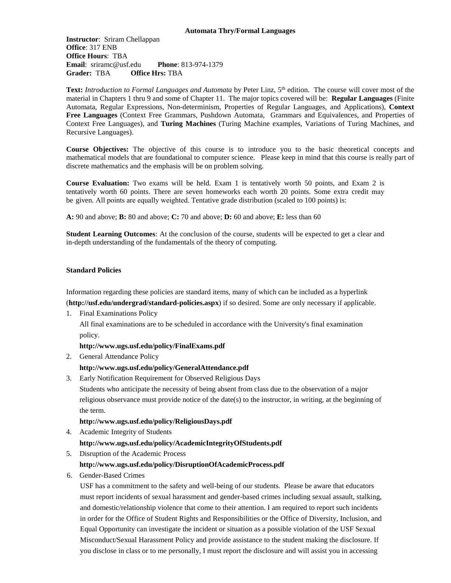**Instructor**: Sriram Chellappan **Office**: 317 ENB **Office Hours**: TBA **Email**: sriramc@usf.edu **Phone**: 813-974-1379 **Grader:** TBA **Office Hrs:** TBA

**Text:** *Introduction to Formal Languages and Automata* by Peter Linz, 5<sup>th</sup> edition. The course will cover most of the material in Chapters 1 thru 9 and some of Chapter 11. The major topics covered will be: **Regular Languages** (Finite Automata, Regular Expressions, Non-determinism, Properties of Regular Languages, and Applications), **Context Free Languages** (Context Free Grammars, Pushdown Automata, Grammars and Equivalences, and Properties of Context Free Languages), and **Turing Machines** (Turing Machine examples, Variations of Turing Machines, and Recursive Languages).

**Course Objectives:** The objective of this course is to introduce you to the basic theoretical concepts and mathematical models that are foundational to computer science. Please keep in mind that this course is really part of discrete mathematics and the emphasis will be on problem solving.

**Course Evaluation:** Two exams will be held. Exam 1 is tentatively worth 50 points, and Exam 2 is tentatively worth 60 points. There are seven homeworks each worth 20 points. Some extra credit may be given. All points are equally weighted. Tentative grade distribution (scaled to 100 points) is:

**A:** 90 and above; **B:** 80 and above; **C:** 70 and above; **D:** 60 and above; **E:** less than 60

**Student Learning Outcomes**: At the conclusion of the course, students will be expected to get a clear and in-depth understanding of the fundamentals of the theory of computing.

### **Standard Policies**

Information regarding these policies are standard items, many of which can be included as a hyperlink (**<http://usf.edu/undergrad/standard-policies.aspx>**) if so desired. Some are only necessary if applicable.

1. Final Examinations Policy

All final examinations are to be scheduled in accordance with the University's final examination policy.

## **<http://www.ugs.usf.edu/policy/FinalExams.pdf>**

2. General Attendance Policy

## **<http://www.ugs.usf.edu/policy/GeneralAttendance.pdf>**

3. Early Notification Requirement for Observed Religious Days

Students who anticipate the necessity of being absent from class due to the observation of a major religious observance must provide notice of the date(s) to the instructor, in writing, at the beginning of the term.

#### **<http://www.ugs.usf.edu/policy/ReligiousDays.pdf>**

- 4. Academic Integrity of Students **<http://www.ugs.usf.edu/policy/AcademicIntegrityOfStudents.pdf>**
- 5. Disruption of the Academic Process

#### **<http://www.ugs.usf.edu/policy/DisruptionOfAcademicProcess.pdf>**

6. Gender-Based Crimes

USF has a commitment to the safety and well-being of our students. Please be aware that educators must report incidents of sexual harassment and gender-based crimes including sexual assault, stalking, and domestic/relationship violence that come to their attention. I am required to report such incidents in order for the Office of Student Rights and Responsibilities or the Office of Diversity, Inclusion, and Equal Opportunity can investigate the incident or situation as a possible violation of the USF Sexual Misconduct/Sexual Harassment Policy and provide assistance to the student making the disclosure. If you disclose in class or to me personally, I must report the disclosure and will assist you in accessing